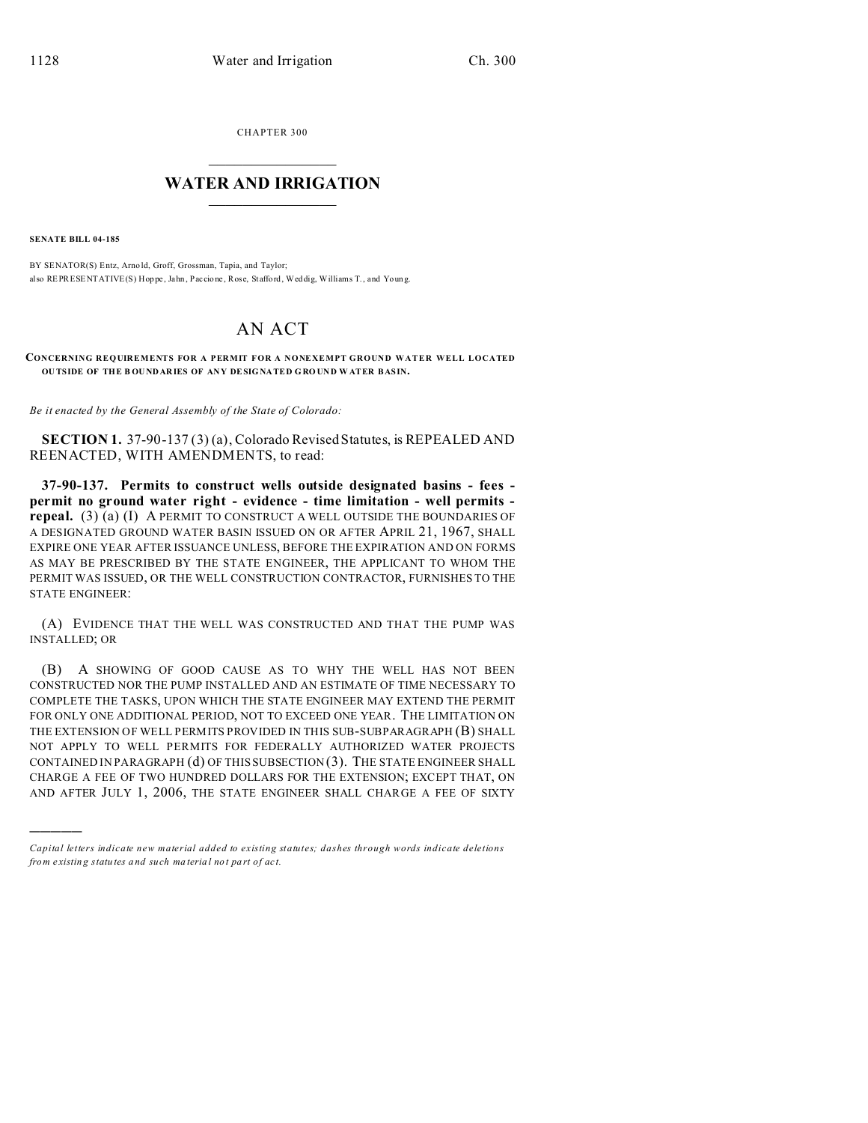CHAPTER 300  $\overline{\phantom{a}}$  , where  $\overline{\phantom{a}}$ 

## **WATER AND IRRIGATION**  $\_$   $\_$   $\_$   $\_$   $\_$   $\_$   $\_$   $\_$   $\_$

**SENATE BILL 04-185**

)))))

BY SENATOR(S) Entz, Arno ld, Groff, Grossman, Tapia, and Taylor; also REPRESENTATIVE(S) Hop pe, Jahn, Paccio ne, Rose, Stafford, Weddig, Williams T., and Young.

## AN ACT

**CONCERNING REQUIREMENTS FOR A PERMIT FOR A NONEXEMPT GROUND WATER WELL LOCATED OU TSIDE OF THE B OU NDARIES OF ANY DESIG NATED G RO UND W ATER BAS IN.**

*Be it enacted by the General Assembly of the State of Colorado:*

**SECTION 1.** 37-90-137 (3) (a), Colorado Revised Statutes, is REPEALED AND REENACTED, WITH AMENDMENTS, to read:

**37-90-137. Permits to construct wells outside designated basins - fees permit no ground water right - evidence - time limitation - well permits repeal.** (3) (a) (I) A PERMIT TO CONSTRUCT A WELL OUTSIDE THE BOUNDARIES OF A DESIGNATED GROUND WATER BASIN ISSUED ON OR AFTER APRIL 21, 1967, SHALL EXPIRE ONE YEAR AFTER ISSUANCE UNLESS, BEFORE THE EXPIRATION AND ON FORMS AS MAY BE PRESCRIBED BY THE STATE ENGINEER, THE APPLICANT TO WHOM THE PERMIT WAS ISSUED, OR THE WELL CONSTRUCTION CONTRACTOR, FURNISHES TO THE STATE ENGINEER:

(A) EVIDENCE THAT THE WELL WAS CONSTRUCTED AND THAT THE PUMP WAS INSTALLED; OR

(B) A SHOWING OF GOOD CAUSE AS TO WHY THE WELL HAS NOT BEEN CONSTRUCTED NOR THE PUMP INSTALLED AND AN ESTIMATE OF TIME NECESSARY TO COMPLETE THE TASKS, UPON WHICH THE STATE ENGINEER MAY EXTEND THE PERMIT FOR ONLY ONE ADDITIONAL PERIOD, NOT TO EXCEED ONE YEAR. THE LIMITATION ON THE EXTENSION OF WELL PERMITS PROVIDED IN THIS SUB-SUBPARAGRAPH (B) SHALL NOT APPLY TO WELL PERMITS FOR FEDERALLY AUTHORIZED WATER PROJECTS CONTAINED IN PARAGRAPH (d) OF THIS SUBSECTION (3). THE STATE ENGINEER SHALL CHARGE A FEE OF TWO HUNDRED DOLLARS FOR THE EXTENSION; EXCEPT THAT, ON AND AFTER JULY 1, 2006, THE STATE ENGINEER SHALL CHARGE A FEE OF SIXTY

*Capital letters indicate new material added to existing statutes; dashes through words indicate deletions from e xistin g statu tes a nd such ma teria l no t pa rt of ac t.*